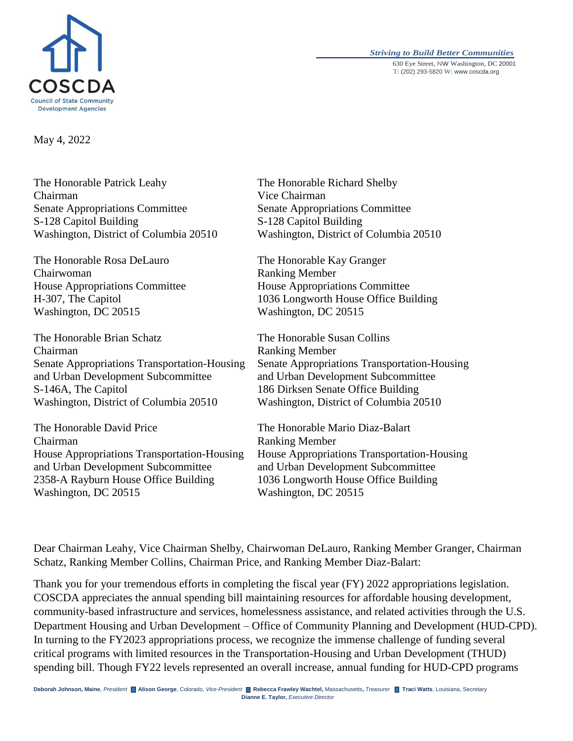

#### *Striving to Build Better Communities* 630 Eye Street, NW Washington, DC 20001 T: (202) 293-5820 W: www.coscda.org

May 4, 2022

The Honorable Patrick Leahy Chairman Senate Appropriations Committee S-128 Capitol Building Washington, District of Columbia 20510

The Honorable Rosa DeLauro Chairwoman House Appropriations Committee H-307, The Capitol Washington, DC 20515

The Honorable Brian Schatz Chairman Senate Appropriations Transportation-Housing and Urban Development Subcommittee S-146A, The Capitol Washington, District of Columbia 20510

The Honorable David Price Chairman House Appropriations Transportation-Housing and Urban Development Subcommittee 2358-A Rayburn House Office Building Washington, DC 20515

The Honorable Richard Shelby Vice Chairman Senate Appropriations Committee S-128 Capitol Building Washington, District of Columbia 20510

The Honorable Kay Granger Ranking Member House Appropriations Committee 1036 Longworth House Office Building Washington, DC 20515

The Honorable Susan Collins Ranking Member Senate Appropriations Transportation-Housing and Urban Development Subcommittee 186 Dirksen Senate Office Building Washington, District of Columbia 20510

The Honorable Mario Diaz-Balart Ranking Member House Appropriations Transportation-Housing and Urban Development Subcommittee 1036 Longworth House Office Building Washington, DC 20515

Dear Chairman Leahy, Vice Chairman Shelby, Chairwoman DeLauro, Ranking Member Granger, Chairman Schatz, Ranking Member Collins, Chairman Price, and Ranking Member Diaz-Balart:

Thank you for your tremendous efforts in completing the fiscal year (FY) 2022 appropriations legislation. COSCDA appreciates the annual spending bill maintaining resources for affordable housing development, community-based infrastructure and services, homelessness assistance, and related activities through the U.S. Department Housing and Urban Development – Office of Community Planning and Development (HUD-CPD). In turning to the FY2023 appropriations process, we recognize the immense challenge of funding several critical programs with limited resources in the Transportation-Housing and Urban Development (THUD) spending bill. Though FY22 levels represented an overall increase, annual funding for HUD-CPD programs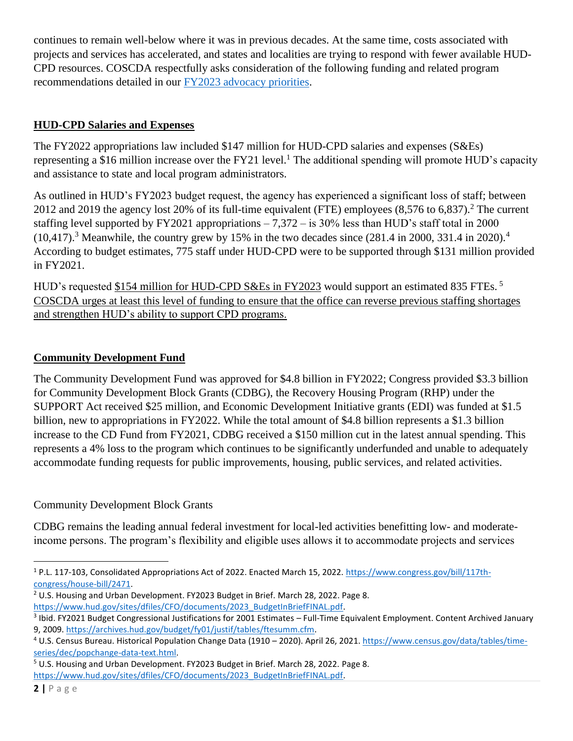continues to remain well-below where it was in previous decades. At the same time, costs associated with projects and services has accelerated, and states and localities are trying to respond with fewer available HUD-CPD resources. COSCDA respectfully asks consideration of the following funding and related program recommendations detailed in our [FY2023 advocacy priorities.](https://coscda.org/advocacy/2023-advocacy-priorities/)

## **HUD-CPD Salaries and Expenses**

The FY2022 appropriations law included \$147 million for HUD-CPD salaries and expenses (S&Es) representing a \$16 million increase over the FY21 level.<sup>1</sup> The additional spending will promote HUD's capacity and assistance to state and local program administrators.

As outlined in HUD's FY2023 budget request, the agency has experienced a significant loss of staff; between 2012 and 2019 the agency lost 20% of its full-time equivalent (FTE) employees (8,576 to 6,837).<sup>2</sup> The current staffing level supported by FY2021 appropriations  $-7,372 -$  is 30% less than HUD's staff total in 2000  $(10,417)$ .<sup>3</sup> Meanwhile, the country grew by 15% in the two decades since  $(281.4 \text{ in } 2000, 331.4 \text{ in } 2020)$ .<sup>4</sup> According to budget estimates, 775 staff under HUD-CPD were to be supported through \$131 million provided in FY2021.

HUD's requested \$154 million for HUD-CPD S&Es in FY2023 would support an estimated 835 FTEs.<sup>5</sup> COSCDA urges at least this level of funding to ensure that the office can reverse previous staffing shortages and strengthen HUD's ability to support CPD programs.

# **Community Development Fund**

The Community Development Fund was approved for \$4.8 billion in FY2022; Congress provided \$3.3 billion for Community Development Block Grants (CDBG), the Recovery Housing Program (RHP) under the SUPPORT Act received \$25 million, and Economic Development Initiative grants (EDI) was funded at \$1.5 billion, new to appropriations in FY2022. While the total amount of \$4.8 billion represents a \$1.3 billion increase to the CD Fund from FY2021, CDBG received a \$150 million cut in the latest annual spending. This represents a 4% loss to the program which continues to be significantly underfunded and unable to adequately accommodate funding requests for public improvements, housing, public services, and related activities.

## Community Development Block Grants

CDBG remains the leading annual federal investment for local-led activities benefitting low- and moderateincome persons. The program's flexibility and eligible uses allows it to accommodate projects and services

l <sup>1</sup> P.L. 117-103, Consolidated Appropriations Act of 2022. Enacted March 15, 2022. [https://www.congress.gov/bill/117th](https://www.congress.gov/bill/117th-congress/house-bill/2471)[congress/house-bill/2471.](https://www.congress.gov/bill/117th-congress/house-bill/2471)

<sup>&</sup>lt;sup>2</sup> U.S. Housing and Urban Development. FY2023 Budget in Brief. March 28, 2022. Page 8. [https://www.hud.gov/sites/dfiles/CFO/documents/2023\\_BudgetInBriefFINAL.pdf.](https://www.hud.gov/sites/dfiles/CFO/documents/2023_BudgetInBriefFINAL.pdf)

<sup>&</sup>lt;sup>3</sup> Ibid. FY2021 Budget Congressional Justifications for 2001 Estimates – Full-Time Equivalent Employment. Content Archived January 9, 2009. [https://archives.hud.gov/budget/fy01/justif/tables/ftesumm.cfm.](https://archives.hud.gov/budget/fy01/justif/tables/ftesumm.cfm)

<sup>4</sup> U.S. Census Bureau. Historical Population Change Data (1910 – 2020). April 26, 2021. [https://www.census.gov/data/tables/time](https://www.census.gov/data/tables/time-series/dec/popchange-data-text.html)[series/dec/popchange-data-text.html.](https://www.census.gov/data/tables/time-series/dec/popchange-data-text.html) 

<sup>5</sup> U.S. Housing and Urban Development. FY2023 Budget in Brief. March 28, 2022. Page 8.

[https://www.hud.gov/sites/dfiles/CFO/documents/2023\\_BudgetInBriefFINAL.pdf.](https://www.hud.gov/sites/dfiles/CFO/documents/2023_BudgetInBriefFINAL.pdf)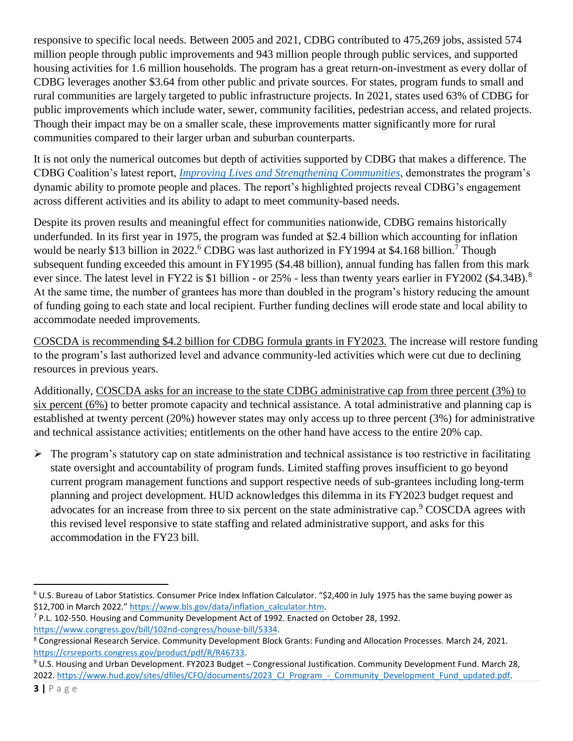responsive to specific local needs. Between 2005 and 2021, CDBG contributed to 475,269 jobs, assisted 574 million people through public improvements and 943 million people through public services, and supported housing activities for 1.6 million households. The program has a great return-on-investment as every dollar of CDBG leverages another \$3.64 from other public and private sources. For states, program funds to small and rural communities are largely targeted to public infrastructure projects. In 2021, states used 63% of CDBG for public improvements which include water, sewer, community facilities, pedestrian access, and related projects. Though their impact may be on a smaller scale, these improvements matter significantly more for rural communities compared to their larger urban and suburban counterparts.

It is not only the numerical outcomes but depth of activities supported by CDBG that makes a difference. The CDBG Coalition's latest report, *[Improving Lives and Strengthening Communities](https://coscda.org/wp-content/uploads/2022/04/CDBG-Impact-Report-April-12-2022FINAL.pdf)*, demonstrates the program's dynamic ability to promote people and places. The report's highlighted projects reveal CDBG's engagement across different activities and its ability to adapt to meet community-based needs.

Despite its proven results and meaningful effect for communities nationwide, CDBG remains historically underfunded. In its first year in 1975, the program was funded at \$2.4 billion which accounting for inflation would be nearly \$13 billion in 2022.<sup>6</sup> CDBG was last authorized in FY1994 at \$4.168 billion.<sup>7</sup> Though subsequent funding exceeded this amount in FY1995 (\$4.48 billion), annual funding has fallen from this mark ever since. The latest level in FY22 is \$1 billion - or 25% - less than twenty years earlier in FY2002 (\$4.34B).<sup>8</sup> At the same time, the number of grantees has more than doubled in the program's history reducing the amount of funding going to each state and local recipient. Further funding declines will erode state and local ability to accommodate needed improvements.

COSCDA is recommending \$4.2 billion for CDBG formula grants in FY2023. The increase will restore funding to the program's last authorized level and advance community-led activities which were cut due to declining resources in previous years.

Additionally, COSCDA asks for an increase to the state CDBG administrative cap from three percent (3%) to six percent (6%) to better promote capacity and technical assistance. A total administrative and planning cap is established at twenty percent (20%) however states may only access up to three percent (3%) for administrative and technical assistance activities; entitlements on the other hand have access to the entire 20% cap.

 $\triangleright$  The program's statutory cap on state administration and technical assistance is too restrictive in facilitating state oversight and accountability of program funds. Limited staffing proves insufficient to go beyond current program management functions and support respective needs of sub-grantees including long-term planning and project development. HUD acknowledges this dilemma in its FY2023 budget request and advocates for an increase from three to six percent on the state administrative cap.<sup>9</sup> COSCDA agrees with this revised level responsive to state staffing and related administrative support, and asks for this accommodation in the FY23 bill.

 $<sup>7</sup>$  P.L. 102-550. Housing and Community Development Act of 1992. Enacted on October 28, 1992.</sup> [https://www.congress.gov/bill/102nd-congress/house-bill/5334.](https://www.congress.gov/bill/102nd-congress/house-bill/5334) 

<sup>9</sup> U.S. Housing and Urban Development. FY2023 Budget – Congressional Justification. Community Development Fund. March 28, 2022. https://www.hud.gov/sites/dfiles/CFO/documents/2023 CJ Program - Community Development Fund updated.pdf.

l  $6$  U.S. Bureau of Labor Statistics. Consumer Price Index Inflation Calculator. "\$2,400 in July 1975 has the same buying power as \$12,700 in March 2022." [https://www.bls.gov/data/inflation\\_calculator.htm.](https://www.bls.gov/data/inflation_calculator.htm)

<sup>8</sup> Congressional Research Service. Community Development Block Grants: Funding and Allocation Processes. March 24, 2021. [https://crsreports.congress.gov/product/pdf/R/R46733.](https://crsreports.congress.gov/product/pdf/R/R46733)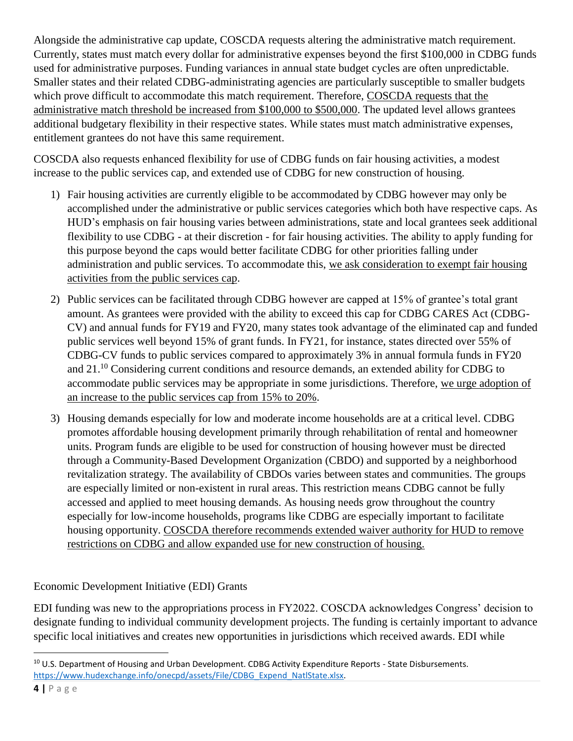Alongside the administrative cap update, COSCDA requests altering the administrative match requirement. Currently, states must match every dollar for administrative expenses beyond the first \$100,000 in CDBG funds used for administrative purposes. Funding variances in annual state budget cycles are often unpredictable. Smaller states and their related CDBG-administrating agencies are particularly susceptible to smaller budgets which prove difficult to accommodate this match requirement. Therefore, COSCDA requests that the administrative match threshold be increased from \$100,000 to \$500,000. The updated level allows grantees additional budgetary flexibility in their respective states. While states must match administrative expenses, entitlement grantees do not have this same requirement.

COSCDA also requests enhanced flexibility for use of CDBG funds on fair housing activities, a modest increase to the public services cap, and extended use of CDBG for new construction of housing.

- 1) Fair housing activities are currently eligible to be accommodated by CDBG however may only be accomplished under the administrative or public services categories which both have respective caps. As HUD's emphasis on fair housing varies between administrations, state and local grantees seek additional flexibility to use CDBG - at their discretion - for fair housing activities. The ability to apply funding for this purpose beyond the caps would better facilitate CDBG for other priorities falling under administration and public services. To accommodate this, we ask consideration to exempt fair housing activities from the public services cap.
- 2) Public services can be facilitated through CDBG however are capped at 15% of grantee's total grant amount. As grantees were provided with the ability to exceed this cap for CDBG CARES Act (CDBG-CV) and annual funds for FY19 and FY20, many states took advantage of the eliminated cap and funded public services well beyond 15% of grant funds. In FY21, for instance, states directed over 55% of CDBG-CV funds to public services compared to approximately 3% in annual formula funds in FY20 and 21.<sup>10</sup> Considering current conditions and resource demands, an extended ability for CDBG to accommodate public services may be appropriate in some jurisdictions. Therefore, we urge adoption of an increase to the public services cap from 15% to 20%.
- 3) Housing demands especially for low and moderate income households are at a critical level. CDBG promotes affordable housing development primarily through rehabilitation of rental and homeowner units. Program funds are eligible to be used for construction of housing however must be directed through a Community-Based Development Organization (CBDO) and supported by a neighborhood revitalization strategy. The availability of CBDOs varies between states and communities. The groups are especially limited or non-existent in rural areas. This restriction means CDBG cannot be fully accessed and applied to meet housing demands. As housing needs grow throughout the country especially for low-income households, programs like CDBG are especially important to facilitate housing opportunity. COSCDA therefore recommends extended waiver authority for HUD to remove restrictions on CDBG and allow expanded use for new construction of housing.

Economic Development Initiative (EDI) Grants

EDI funding was new to the appropriations process in FY2022. COSCDA acknowledges Congress' decision to designate funding to individual community development projects. The funding is certainly important to advance specific local initiatives and creates new opportunities in jurisdictions which received awards. EDI while

 $\overline{\phantom{a}}$ <sup>10</sup> U.S. Department of Housing and Urban Development. CDBG Activity Expenditure Reports - State Disbursements. https://www.hudexchange.info/onecpd/assets/File/CDBG\_Expend\_NatlState.xlsx.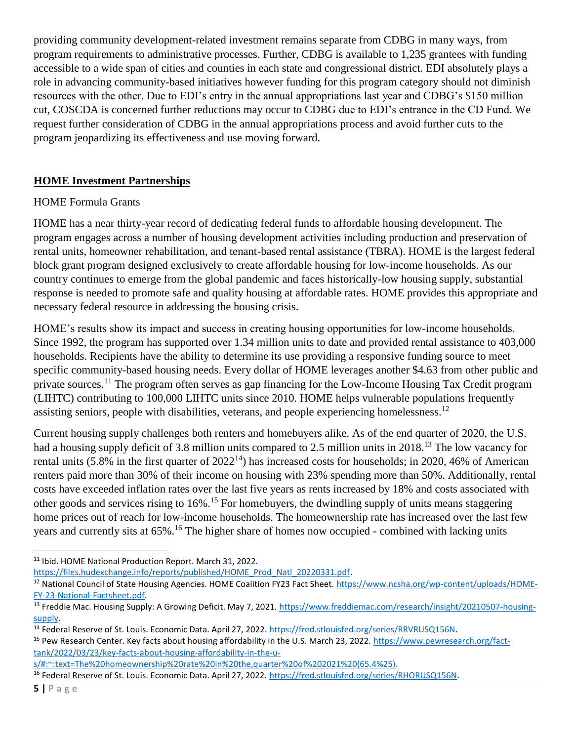providing community development-related investment remains separate from CDBG in many ways, from program requirements to administrative processes. Further, CDBG is available to 1,235 grantees with funding accessible to a wide span of cities and counties in each state and congressional district. EDI absolutely plays a role in advancing community-based initiatives however funding for this program category should not diminish resources with the other. Due to EDI's entry in the annual appropriations last year and CDBG's \$150 million cut, COSCDA is concerned further reductions may occur to CDBG due to EDI's entrance in the CD Fund. We request further consideration of CDBG in the annual appropriations process and avoid further cuts to the program jeopardizing its effectiveness and use moving forward.

## **HOME Investment Partnerships**

## HOME Formula Grants

HOME has a near thirty-year record of dedicating federal funds to affordable housing development. The program engages across a number of housing development activities including production and preservation of rental units, homeowner rehabilitation, and tenant-based rental assistance (TBRA). HOME is the largest federal block grant program designed exclusively to create affordable housing for low-income households. As our country continues to emerge from the global pandemic and faces historically-low housing supply, substantial response is needed to promote safe and quality housing at affordable rates. HOME provides this appropriate and necessary federal resource in addressing the housing crisis.

HOME's results show its impact and success in creating housing opportunities for low-income households. Since 1992, the program has supported over 1.34 million units to date and provided rental assistance to 403,000 households. Recipients have the ability to determine its use providing a responsive funding source to meet specific community-based housing needs. Every dollar of HOME leverages another \$4.63 from other public and private sources.<sup>11</sup> The program often serves as gap financing for the Low-Income Housing Tax Credit program (LIHTC) contributing to 100,000 LIHTC units since 2010. HOME helps vulnerable populations frequently assisting seniors, people with disabilities, veterans, and people experiencing homelessness.<sup>12</sup>

Current housing supply challenges both renters and homebuyers alike. As of the end quarter of 2020, the U.S. had a housing supply deficit of 3.8 million units compared to 2.5 million units in 2018.<sup>13</sup> The low vacancy for rental units (5.8% in the first quarter of  $2022^{14}$ ) has increased costs for households; in 2020, 46% of American renters paid more than 30% of their income on housing with 23% spending more than 50%. Additionally, rental costs have exceeded inflation rates over the last five years as rents increased by 18% and costs associated with other goods and services rising to 16%.<sup>15</sup> For homebuyers, the dwindling supply of units means staggering home prices out of reach for low-income households. The homeownership rate has increased over the last few years and currently sits at  $65\%$ .<sup>16</sup> The higher share of homes now occupied - combined with lacking units

 $\overline{\phantom{a}}$ 

<sup>11</sup> Ibid. HOME National Production Report. March 31, 2022.

[https://files.hudexchange.info/reports/published/HOME\\_Prod\\_Natl\\_20220331.pdf.](https://files.hudexchange.info/reports/published/HOME_Prod_Natl_20220331.pdf)

<sup>&</sup>lt;sup>12</sup> National Council of State Housing Agencies. HOME Coalition FY23 Fact Sheet. [https://www.ncsha.org/wp-content/uploads/HOME-](https://www.ncsha.org/wp-content/uploads/HOME-FY-23-National-Factsheet.pdf)[FY-23-National-Factsheet.pdf.](https://www.ncsha.org/wp-content/uploads/HOME-FY-23-National-Factsheet.pdf)

<sup>&</sup>lt;sup>13</sup> Freddie Mac. Housing Supply: A Growing Deficit. May 7, 2021[. https://www.freddiemac.com/research/insight/20210507-housing](https://www.freddiemac.com/research/insight/20210507-housing-supply)[supply.](https://www.freddiemac.com/research/insight/20210507-housing-supply)

<sup>&</sup>lt;sup>14</sup> Federal Reserve of St. Louis. Economic Data. April 27, 2022. [https://fred.stlouisfed.org/series/RRVRUSQ156N.](https://fred.stlouisfed.org/series/RRVRUSQ156N)

<sup>15</sup> Pew Research Center. Key facts about housing affordability in the U.S. March 23, 2022. [https://www.pewresearch.org/fact](https://www.pewresearch.org/fact-tank/2022/03/23/key-facts-about-housing-affordability-in-the-u-s/#:~:text=The%20homeownership%20rate%20in%20the,quarter%20of%202021%20(65.4%25))[tank/2022/03/23/key-facts-about-housing-affordability-in-the-u-](https://www.pewresearch.org/fact-tank/2022/03/23/key-facts-about-housing-affordability-in-the-u-s/#:~:text=The%20homeownership%20rate%20in%20the,quarter%20of%202021%20(65.4%25))

[s/#:~:text=The%20homeownership%20rate%20in%20the,quarter%20of%202021%20\(65.4%25\).](https://www.pewresearch.org/fact-tank/2022/03/23/key-facts-about-housing-affordability-in-the-u-s/#:~:text=The%20homeownership%20rate%20in%20the,quarter%20of%202021%20(65.4%25))

<sup>&</sup>lt;sup>16</sup> Federal Reserve of St. Louis. Economic Data. April 27, 2022. [https://fred.stlouisfed.org/series/RHORUSQ156N.](https://fred.stlouisfed.org/series/RHORUSQ156N)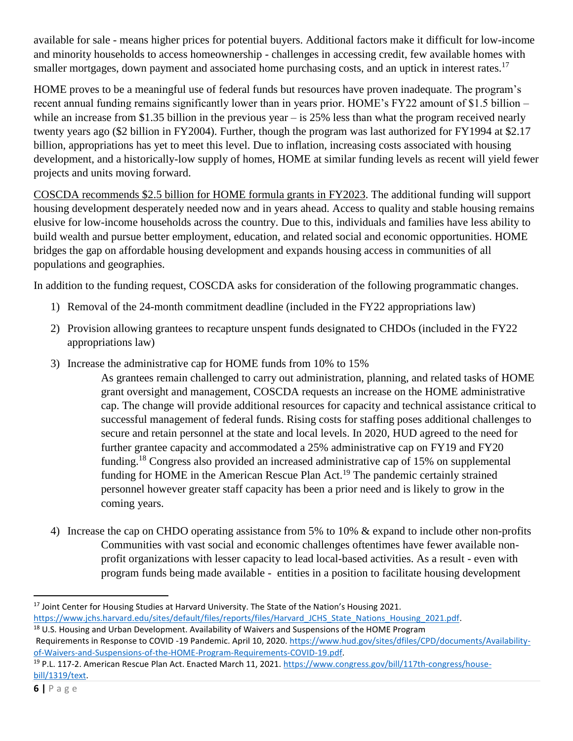available for sale - means higher prices for potential buyers. Additional factors make it difficult for low-income and minority households to access homeownership - challenges in accessing credit, few available homes with smaller mortgages, down payment and associated home purchasing costs, and an uptick in interest rates.<sup>17</sup>

HOME proves to be a meaningful use of federal funds but resources have proven inadequate. The program's recent annual funding remains significantly lower than in years prior. HOME's FY22 amount of \$1.5 billion – while an increase from \$1.35 billion in the previous year – is 25% less than what the program received nearly twenty years ago (\$2 billion in FY2004). Further, though the program was last authorized for FY1994 at \$2.17 billion, appropriations has yet to meet this level. Due to inflation, increasing costs associated with housing development, and a historically-low supply of homes, HOME at similar funding levels as recent will yield fewer projects and units moving forward.

COSCDA recommends \$2.5 billion for HOME formula grants in FY2023. The additional funding will support housing development desperately needed now and in years ahead. Access to quality and stable housing remains elusive for low-income households across the country. Due to this, individuals and families have less ability to build wealth and pursue better employment, education, and related social and economic opportunities. HOME bridges the gap on affordable housing development and expands housing access in communities of all populations and geographies.

In addition to the funding request, COSCDA asks for consideration of the following programmatic changes.

- 1) Removal of the 24-month commitment deadline (included in the FY22 appropriations law)
- 2) Provision allowing grantees to recapture unspent funds designated to CHDOs (included in the FY22 appropriations law)
- 3) Increase the administrative cap for HOME funds from 10% to 15%

As grantees remain challenged to carry out administration, planning, and related tasks of HOME grant oversight and management, COSCDA requests an increase on the HOME administrative cap. The change will provide additional resources for capacity and technical assistance critical to successful management of federal funds. Rising costs for staffing poses additional challenges to secure and retain personnel at the state and local levels. In 2020, HUD agreed to the need for further grantee capacity and accommodated a 25% administrative cap on FY19 and FY20 funding.<sup>18</sup> Congress also provided an increased administrative cap of 15% on supplemental funding for HOME in the American Rescue Plan Act.<sup>19</sup> The pandemic certainly strained personnel however greater staff capacity has been a prior need and is likely to grow in the coming years.

4) Increase the cap on CHDO operating assistance from 5% to 10% & expand to include other non-profits Communities with vast social and economic challenges oftentimes have fewer available nonprofit organizations with lesser capacity to lead local-based activities. As a result - even with program funds being made available - entities in a position to facilitate housing development

 $\overline{\phantom{a}}$ <sup>17</sup> Joint Center for Housing Studies at Harvard University. The State of the Nation's Housing 2021.

[https://www.jchs.harvard.edu/sites/default/files/reports/files/Harvard\\_JCHS\\_State\\_Nations\\_Housing\\_2021.pdf.](https://www.jchs.harvard.edu/sites/default/files/reports/files/Harvard_JCHS_State_Nations_Housing_2021.pdf) <sup>18</sup> U.S. Housing and Urban Development. Availability of Waivers and Suspensions of the HOME Program

Requirements in Response to COVID -19 Pandemic. April 10, 2020[. https://www.hud.gov/sites/dfiles/CPD/documents/Availability](https://www.hud.gov/sites/dfiles/CPD/documents/Availability-of-Waivers-and-Suspensions-of-the-HOME-Program-Requirements-COVID-19.pdf)[of-Waivers-and-Suspensions-of-the-HOME-Program-Requirements-COVID-19.pdf.](https://www.hud.gov/sites/dfiles/CPD/documents/Availability-of-Waivers-and-Suspensions-of-the-HOME-Program-Requirements-COVID-19.pdf)

<sup>&</sup>lt;sup>19</sup> P.L. 117-2. American Rescue Plan Act. Enacted March 11, 2021. [https://www.congress.gov/bill/117th-congress/house](https://www.congress.gov/bill/117th-congress/house-bill/1319/text)[bill/1319/text.](https://www.congress.gov/bill/117th-congress/house-bill/1319/text)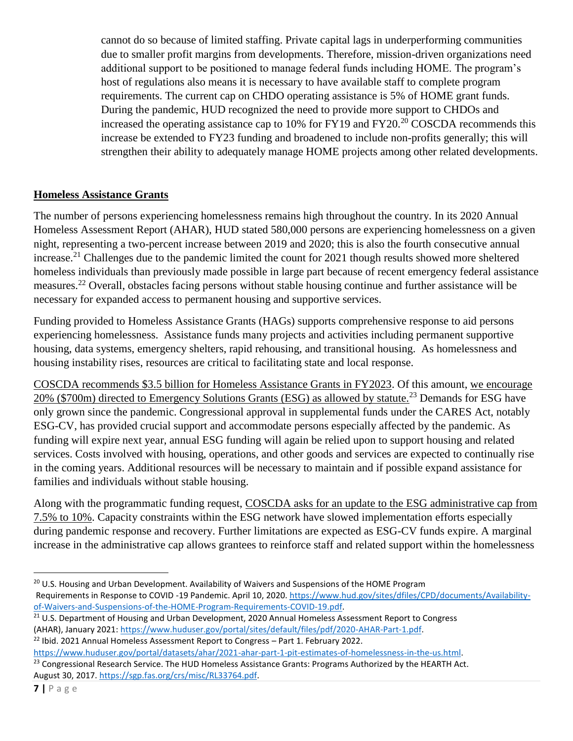cannot do so because of limited staffing. Private capital lags in underperforming communities due to smaller profit margins from developments. Therefore, mission-driven organizations need additional support to be positioned to manage federal funds including HOME. The program's host of regulations also means it is necessary to have available staff to complete program requirements. The current cap on CHDO operating assistance is 5% of HOME grant funds. During the pandemic, HUD recognized the need to provide more support to CHDOs and increased the operating assistance cap to 10% for FY19 and FY20.<sup>20</sup> COSCDA recommends this increase be extended to FY23 funding and broadened to include non-profits generally; this will strengthen their ability to adequately manage HOME projects among other related developments.

## **Homeless Assistance Grants**

The number of persons experiencing homelessness remains high throughout the country. In its 2020 Annual Homeless Assessment Report (AHAR), HUD stated 580,000 persons are experiencing homelessness on a given night, representing a two-percent increase between 2019 and 2020; this is also the fourth consecutive annual increase.<sup>21</sup> Challenges due to the pandemic limited the count for 2021 though results showed more sheltered homeless individuals than previously made possible in large part because of recent emergency federal assistance measures.<sup>22</sup> Overall, obstacles facing persons without stable housing continue and further assistance will be necessary for expanded access to permanent housing and supportive services.

Funding provided to Homeless Assistance Grants (HAGs) supports comprehensive response to aid persons experiencing homelessness. Assistance funds many projects and activities including permanent supportive housing, data systems, emergency shelters, rapid rehousing, and transitional housing. As homelessness and housing instability rises, resources are critical to facilitating state and local response.

COSCDA recommends \$3.5 billion for Homeless Assistance Grants in FY2023. Of this amount, we encourage 20% (\$700m) directed to Emergency Solutions Grants (ESG) as allowed by statute.<sup>23</sup> Demands for ESG have only grown since the pandemic. Congressional approval in supplemental funds under the CARES Act, notably ESG-CV, has provided crucial support and accommodate persons especially affected by the pandemic. As funding will expire next year, annual ESG funding will again be relied upon to support housing and related services. Costs involved with housing, operations, and other goods and services are expected to continually rise in the coming years. Additional resources will be necessary to maintain and if possible expand assistance for families and individuals without stable housing.

Along with the programmatic funding request, COSCDA asks for an update to the ESG administrative cap from 7.5% to 10%. Capacity constraints within the ESG network have slowed implementation efforts especially during pandemic response and recovery. Further limitations are expected as ESG-CV funds expire. A marginal increase in the administrative cap allows grantees to reinforce staff and related support within the homelessness

- <sup>21</sup> U.S. Department of Housing and Urban Development, 2020 Annual Homeless Assessment Report to Congress (AHAR), January 2021: [https://www.huduser.gov/portal/sites/default/files/pdf/2020-AHAR-Part-1.pdf.](https://www.huduser.gov/portal/sites/default/files/pdf/2020-AHAR-Part-1.pdf)
- <sup>22</sup> Ibid. 2021 Annual Homeless Assessment Report to Congress Part 1. February 2022.
- [https://www.huduser.gov/portal/datasets/ahar/2021-ahar-part-1-pit-estimates-of-homelessness-in-the-us.html.](https://www.huduser.gov/portal/datasets/ahar/2021-ahar-part-1-pit-estimates-of-homelessness-in-the-us.html)

 $\overline{\phantom{a}}$ 

<sup>&</sup>lt;sup>20</sup> U.S. Housing and Urban Development. Availability of Waivers and Suspensions of the HOME Program Requirements in Response to COVID -19 Pandemic. April 10, 2020[. https://www.hud.gov/sites/dfiles/CPD/documents/Availability](https://www.hud.gov/sites/dfiles/CPD/documents/Availability-of-Waivers-and-Suspensions-of-the-HOME-Program-Requirements-COVID-19.pdf)[of-Waivers-and-Suspensions-of-the-HOME-Program-Requirements-COVID-19.pdf.](https://www.hud.gov/sites/dfiles/CPD/documents/Availability-of-Waivers-and-Suspensions-of-the-HOME-Program-Requirements-COVID-19.pdf)

<sup>&</sup>lt;sup>23</sup> Congressional Research Service. The HUD Homeless Assistance Grants: Programs Authorized by the HEARTH Act. August 30, 2017. [https://sgp.fas.org/crs/misc/RL33764.pdf.](https://sgp.fas.org/crs/misc/RL33764.pdf)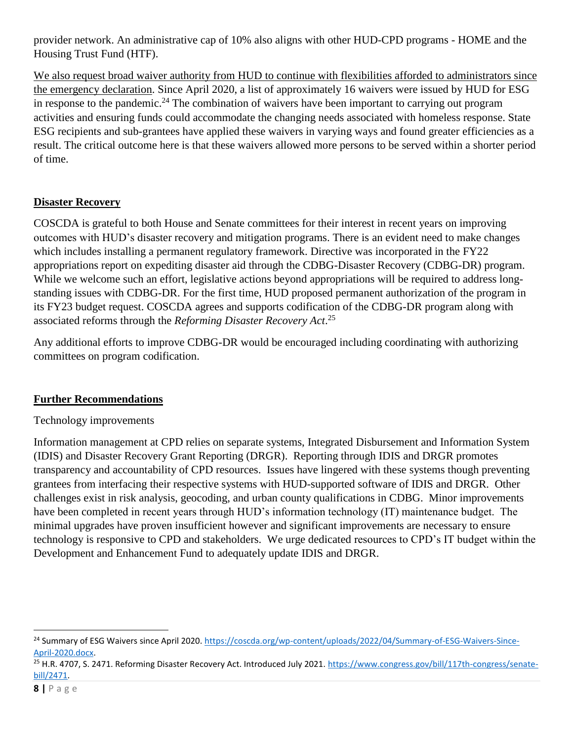provider network. An administrative cap of 10% also aligns with other HUD-CPD programs - HOME and the Housing Trust Fund (HTF).

We also request broad waiver authority from HUD to continue with flexibilities afforded to administrators since the emergency declaration. Since April 2020, a list of approximately 16 waivers were issued by HUD for ESG in response to the pandemic.<sup>24</sup> The combination of waivers have been important to carrying out program activities and ensuring funds could accommodate the changing needs associated with homeless response. State ESG recipients and sub-grantees have applied these waivers in varying ways and found greater efficiencies as a result. The critical outcome here is that these waivers allowed more persons to be served within a shorter period of time.

#### **Disaster Recovery**

COSCDA is grateful to both House and Senate committees for their interest in recent years on improving outcomes with HUD's disaster recovery and mitigation programs. There is an evident need to make changes which includes installing a permanent regulatory framework. Directive was incorporated in the FY22 appropriations report on expediting disaster aid through the CDBG-Disaster Recovery (CDBG-DR) program. While we welcome such an effort, legislative actions beyond appropriations will be required to address longstanding issues with CDBG-DR. For the first time, HUD proposed permanent authorization of the program in its FY23 budget request. COSCDA agrees and supports codification of the CDBG-DR program along with associated reforms through the *Reforming Disaster Recovery Act*. 25

Any additional efforts to improve CDBG-DR would be encouraged including coordinating with authorizing committees on program codification.

#### **Further Recommendations**

#### Technology improvements

Information management at CPD relies on separate systems, Integrated Disbursement and Information System (IDIS) and Disaster Recovery Grant Reporting (DRGR). Reporting through IDIS and DRGR promotes transparency and accountability of CPD resources. Issues have lingered with these systems though preventing grantees from interfacing their respective systems with HUD-supported software of IDIS and DRGR. Other challenges exist in risk analysis, geocoding, and urban county qualifications in CDBG. Minor improvements have been completed in recent years through HUD's information technology (IT) maintenance budget. The minimal upgrades have proven insufficient however and significant improvements are necessary to ensure technology is responsive to CPD and stakeholders. We urge dedicated resources to CPD's IT budget within the Development and Enhancement Fund to adequately update IDIS and DRGR.

 $\overline{\phantom{a}}$ 

<sup>&</sup>lt;sup>24</sup> Summary of ESG Waivers since April 2020. [https://coscda.org/wp-content/uploads/2022/04/Summary-of-ESG-Waivers-Since-](https://coscda.org/wp-content/uploads/2022/04/Summary-of-ESG-Waivers-Since-April-2020.docx)[April-2020.docx.](https://coscda.org/wp-content/uploads/2022/04/Summary-of-ESG-Waivers-Since-April-2020.docx)

<sup>&</sup>lt;sup>25</sup> H.R. 4707, S. 2471. Reforming Disaster Recovery Act. Introduced July 2021. [https://www.congress.gov/bill/117th-congress/senate](https://www.congress.gov/bill/117th-congress/senate-bill/2471)[bill/2471.](https://www.congress.gov/bill/117th-congress/senate-bill/2471)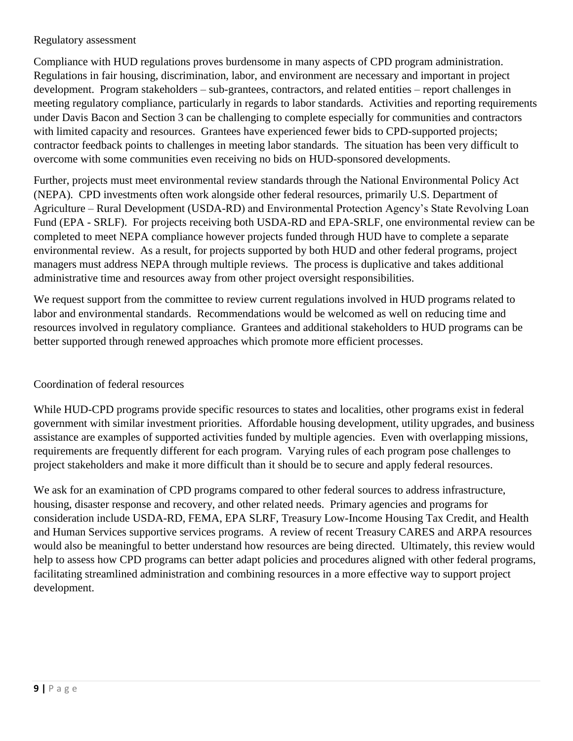#### Regulatory assessment

Compliance with HUD regulations proves burdensome in many aspects of CPD program administration. Regulations in fair housing, discrimination, labor, and environment are necessary and important in project development. Program stakeholders – sub-grantees, contractors, and related entities – report challenges in meeting regulatory compliance, particularly in regards to labor standards. Activities and reporting requirements under Davis Bacon and Section 3 can be challenging to complete especially for communities and contractors with limited capacity and resources. Grantees have experienced fewer bids to CPD-supported projects; contractor feedback points to challenges in meeting labor standards. The situation has been very difficult to overcome with some communities even receiving no bids on HUD-sponsored developments.

Further, projects must meet environmental review standards through the National Environmental Policy Act (NEPA). CPD investments often work alongside other federal resources, primarily U.S. Department of Agriculture – Rural Development (USDA-RD) and Environmental Protection Agency's State Revolving Loan Fund (EPA - SRLF). For projects receiving both USDA-RD and EPA-SRLF, one environmental review can be completed to meet NEPA compliance however projects funded through HUD have to complete a separate environmental review. As a result, for projects supported by both HUD and other federal programs, project managers must address NEPA through multiple reviews. The process is duplicative and takes additional administrative time and resources away from other project oversight responsibilities.

We request support from the committee to review current regulations involved in HUD programs related to labor and environmental standards. Recommendations would be welcomed as well on reducing time and resources involved in regulatory compliance. Grantees and additional stakeholders to HUD programs can be better supported through renewed approaches which promote more efficient processes.

## Coordination of federal resources

While HUD-CPD programs provide specific resources to states and localities, other programs exist in federal government with similar investment priorities. Affordable housing development, utility upgrades, and business assistance are examples of supported activities funded by multiple agencies. Even with overlapping missions, requirements are frequently different for each program. Varying rules of each program pose challenges to project stakeholders and make it more difficult than it should be to secure and apply federal resources.

We ask for an examination of CPD programs compared to other federal sources to address infrastructure, housing, disaster response and recovery, and other related needs. Primary agencies and programs for consideration include USDA-RD, FEMA, EPA SLRF, Treasury Low-Income Housing Tax Credit, and Health and Human Services supportive services programs. A review of recent Treasury CARES and ARPA resources would also be meaningful to better understand how resources are being directed. Ultimately, this review would help to assess how CPD programs can better adapt policies and procedures aligned with other federal programs, facilitating streamlined administration and combining resources in a more effective way to support project development.